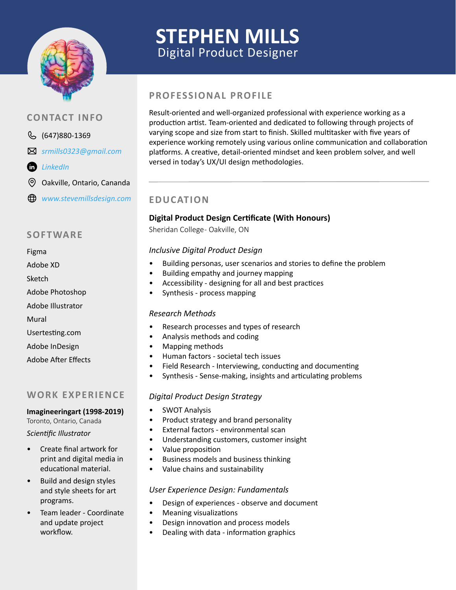

# **STEPHEN MILLS** Digital Product Designer

# **PROFESSIONAL PROFILE**

Result-oriented and well-organized professional with experience working as a production artist. Team-oriented and dedicated to following through projects of varying scope and size from start to finish. Skilled multitasker with five years of experience working remotely using various online communication and collaboration platforms. A creative, detail-oriented mindset and keen problem solver, and well versed in today's UX/UI design methodologies.

## **EDUCATION**

### **Digital Product Design Certificate (With Honours)**

Sheridan College- Oakville, ON

#### *Inclusive Digital Product Design*

- Building personas, user scenarios and stories to define the problem
- Building empathy and journey mapping
- Accessibility designing for all and best practices
- Synthesis process mapping

#### *Research Methods*

- Research processes and types of research
- Analysis methods and coding
- Mapping methods
- Human factors societal tech issues
- Field Research Interviewing, conducting and documenting
- Synthesis Sense-making, insights and articulating problems

#### *Digital Product Design Strategy*

- SWOT Analysis
- Product strategy and brand personality
- External factors environmental scan
- Understanding customers, customer insight
- Value proposition
- Business models and business thinking
- Value chains and sustainability

#### *User Experience Design: Fundamentals*

- Design of experiences observe and document
- Meaning visualizations
- Design innovation and process models
- Dealing with data information graphics

## **CONTACT INFO**

- 647)880-1369
- *srmills0323@gmail.com*
- *[LinkedIn](https://www.linkedin.com/in/stephen-mills-1593a712/)*
- ⊚ Oakville, Ontario, Cananda
- *www.stevemillsdesign.com*

## **SOFTWARE**

#### Figma

- Adobe XD
- Sketch
- Adobe Photoshop
- Adobe Illustrator
- Mural
- Usertesting.com
- Adobe InDesign
- Adobe After Effects

## **WORK EXPERIENCE**

#### **Imagineeringart (1998-2019)**

Toronto, Ontario, Canada *Scientific Illustrator*

• Create final artwork for print and digital media in

educational material.

- Build and design styles and style sheets for art programs.
- Team leader Coordinate and update project workflow.